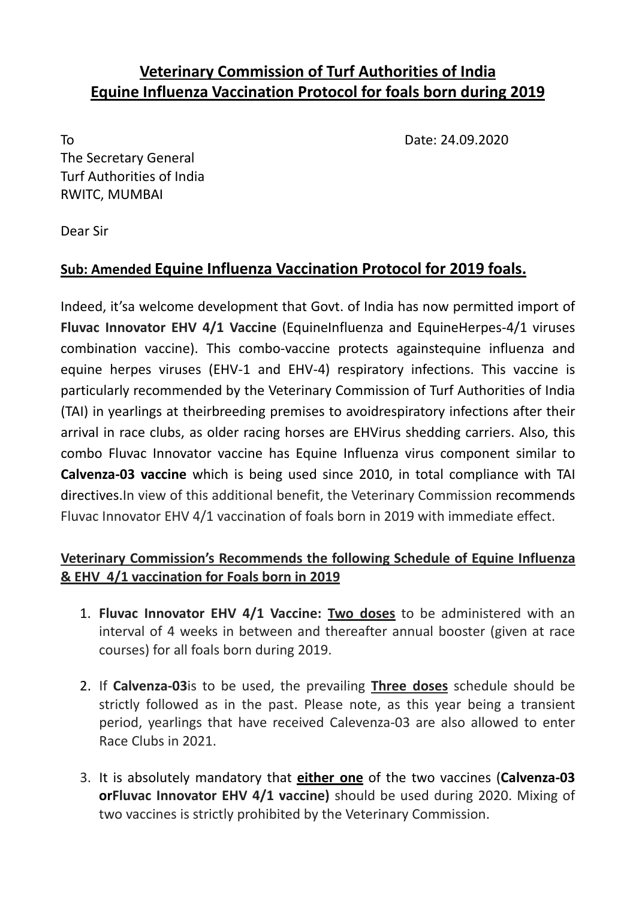## **Veterinary Commission of Turf Authorities of India Equine Influenza Vaccination Protocol for foals born during 2019**

To Date: 24.09.2020

The Secretary General Turf Authorities of India RWITC, MUMBAI

Dear Sir

## **Sub: Amended Equine Influenza Vaccination Protocol for 2019 foals.**

Indeed, it'sa welcome development that Govt. of India has now permitted import of **Fluvac Innovator EHV 4/1 Vaccine** (EquineInfluenza and EquineHerpes‐4/1 viruses combination vaccine). This combo‐vaccine protects againstequine influenza and equine herpes viruses (EHV‐1 and EHV‐4) respiratory infections. This vaccine is particularly recommended by the Veterinary Commission of Turf Authorities of India (TAI) in yearlings at theirbreeding premises to avoidrespiratory infections after their arrival in race clubs, as older racing horses are EHVirus shedding carriers. Also, this combo Fluvac Innovator vaccine has Equine Influenza virus component similar to **Calvenza‐03 vaccine** which is being used since 2010, in total compliance with TAI directives.In view of this additional benefit, the Veterinary Commission recommends Fluvac Innovator EHV 4/1 vaccination of foals born in 2019 with immediate effect.

## **Veterinary Commission's Recommends the following Schedule of Equine Influenza & EHV 4/1 vaccination for Foals born in 2019**

- 1. **Fluvac Innovator EHV 4/1 Vaccine: Two doses** to be administered with an interval of 4 weeks in between and thereafter annual booster (given at race courses) for all foals born during 2019.
- 2. If **Calvenza‐03**is to be used, the prevailing **Three doses** schedule should be strictly followed as in the past. Please note, as this year being a transient period, yearlings that have received Calevenza‐03 are also allowed to enter Race Clubs in 2021.
- 3. It is absolutely mandatory that **either one** of the two vaccines (**Calvenza‐03 orFluvac Innovator EHV 4/1 vaccine)** should be used during 2020. Mixing of two vaccines is strictly prohibited by the Veterinary Commission.